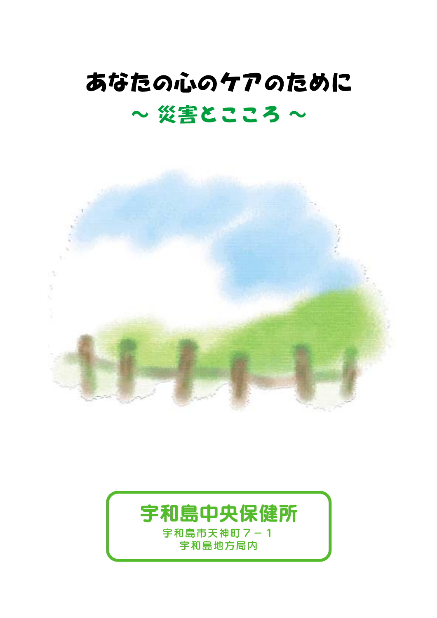# あなたの心のケアのために ~ 災害とこころ ~



# 宇和島中央保健所

宇和島市天神町7-1 宇和島地方局内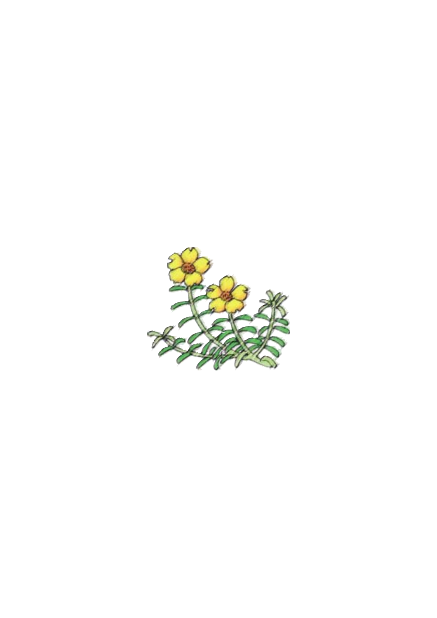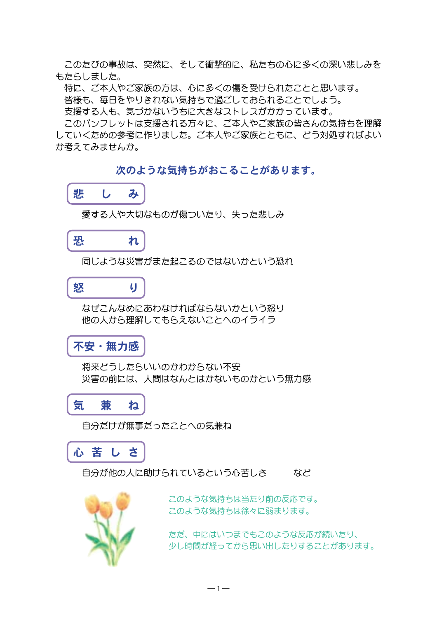このたびの事故は、突然に、そして衝撃的に、私たちの心に多くの深い悲しみを もたらしました。

特に、ご本人やご家族の方は、心に多くの傷を受けられたことと思います。 皆様も、毎日をやりきれない気持ちで過ごしておられることでしょう。 支援する人も、気づかないうちに大きなストレスがかかっています。

このパンフレットは支援される方々に、ご本人やご家族の皆さんの気持ちを理解 していくための参考に作りました。ご本人やご家族とともに、どう対処すればよい か考えてみませんか。

## 次のような気持ちがおこることがあります。



愛する人や大切なものが傷ついたり、失った悲しみ

$$
\begin{bmatrix} \mathcal{R} & \mathcal{R} \end{bmatrix}
$$

同じような災害がまた起こるのではないかという恐れ

怒  $\mathbf{U}$ 

> なぜこんなめにあわなければならないかという怒り 他の人から理解してもらえないことへのイライラ



将来どうしたらいいのかわからない不安 災害の前には、人間はなんとはかないものかという無力感



自分だけが無事だったことへの気兼ね



自分が他の人に助けられているという心苦しさ など



このような気持ちは当たり前の反応です。 このような気持ちは徐々に弱まります。

ただ、中にはいつまでもこのような反応が続いたり、 少し時間が経ってから思い出したりすることがあります。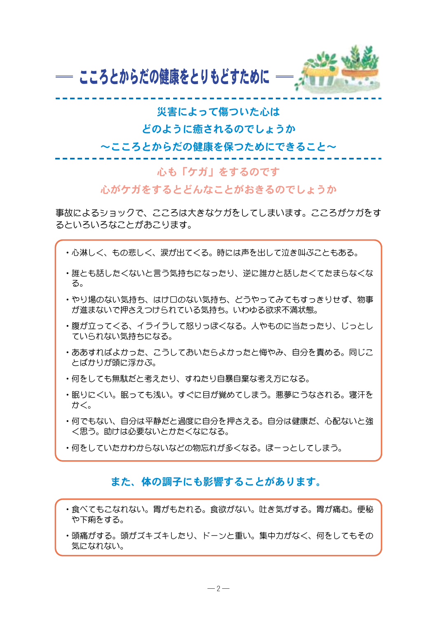

## 災害によって傷ついた心は

## どのように癒されるのでしょうか

## ~こころとからだの健康を保つためにできること~

## 心も「ケガ」をするのです

## 心がケガをするとどんなことがおきるのでしょうか

事故によるショックで、こころは大きなケガをしてしまいます。こころがケガをす るといろいろなことがおこります。

- ・心淋しく、もの悲しく、涙が出てくる。時には声を出して泣き叫ぶこともある。
- ・誰とも話したくないと言う気持ちになったり、逆に誰かと話したくてたまらなくな る。
- •やり場のない気持ち、はけ口のない気持ち、どうやってみてもすっきりせず、物事 が進まないで押さえつけられている気持ち。いわゆる欲求不満状態。
- ・腹が立ってくる、イライラして怒りっぽくなる。人やものに当たったり、じっとし ていられない気持ちになる。
- •ああすればよかった、こうしておいたらよかったと悔やみ、自分を責める。同じこ とばかりが頭に浮かぶ。
- ・何をしても無駄だと考えたり、すねたり自暴自棄な考え方になる。
- ・眠りにくい。眠っても浅い。すぐに目が覚めてしまう。悪夢にうなされる。寝汗を かく。
- ・何でもない、自分は平静だと過度に自分を押さえる。自分は健康だ、心配ないと強 く思う。助けは必要ないとかたくなになる。
- ・何をしていたかわからないなどの物忘れが多くなる。ぼーっとしてしまう。

## また、体の調子にも影響することがあります。

- •食べてもこなれない。胃がもたれる。食欲がない。吐き気がする。胃が痛む。便秘 や下痢をする。
- ・頭痛がする。頭がズキズキしたり、ドーンと重い。集中力がなく、何をしてもその 気になれない。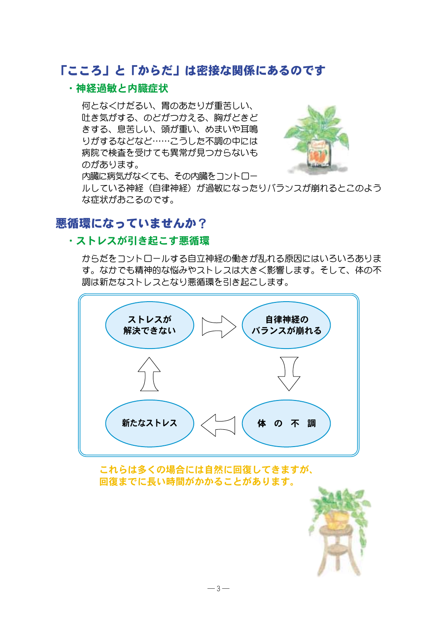# 「こころ」と「からだ」は密接な関係にあるのです

## ・神経過敏と内臓症状

何となくけだるい、胃のあたりが重苦しい、 吐き気がする、のどがつかえる、胸がどきど きする、息苦しい、頭が重い、めまいや耳鳴 りがするなどなど……こうした不調の中には 病院で検査を受けても異常が見つからないも のがあります。



内臓に病気がなくても、その内臓をコントロー

ルしている神経(自律神経)が過敏になったりバランスが崩れるとこのよう な症状がおこるのです。

# 悪循環になっていませんか?

## ・ストレスが引き起こす悪循環

からだをコントロールする自立神経の働きが乱れる原因にはいろいろありま す。なかでも精神的な悩みやストレスは大きく影響します。そして、体の不 調は新たなストレスとなり悪循環を引き起こします。



これらは多くの場合には自然に回復してきますが、 回復までに長い時間がかかることがあります。

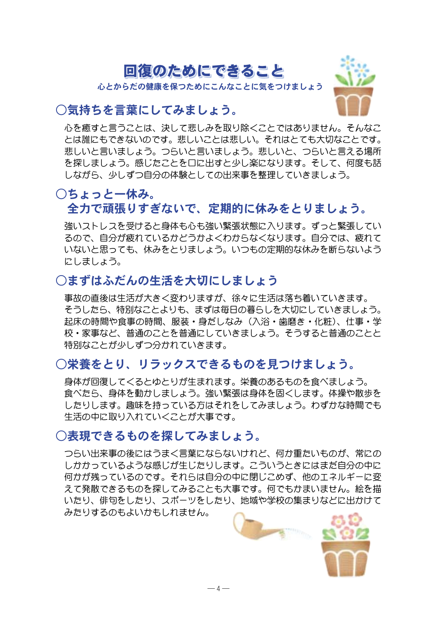回復のためにできること

心とからだの健康を保つためにこんなことに気をつけましょう



# ○気持ちを言葉にしてみましょう。

心を癒すと言うことは、決して悲しみを取り除くことではありません。そんなこ とは誰にもできないのです。悲しいことは悲しい。それはとても大切なことです。 悲しいと言いましょう。つらいと言いましょう。悲しいと、つらいと言える場所 を探しましょう。感じたことを口に出すと少し楽になります。そして、何度も話 しながら、少しずつ自分の体験としての出来事を整理していきましょう。

# ○ちょっと一休み。 全力で頑張りすぎないで、定期的に休みをとりましょう。

強いストレスを受けると身体も心も強い緊張状態に入ります。ずっと緊張してい るので、自分が疲れているかどうかよくわからなくなります。自分では、疲れて いないと思っても、休みをとりましょう。いつもの定期的な休みを断らないよう にしましょう。

# ○まずはふだんの生活を大切にしましょう

事故の直後は生活が大きく変わりますが、徐々に生活は落ち着いていきます。 そうしたら、特別なことよりも、まずは毎日の暮らしを大切にしていきましょう。 起床の時間や食事の時間、服装・身だしなみ(入浴・歯磨き・化粧)、仕事・学 校・家事など、普通のことを普通にしていきましょう。そうすると普通のことと 特別なことが少しずつ分かれていきます。

# 〇栄養をとり、リラックスできるものを見つけましょう。

身体が回復してくるとゆとりが生まれます。栄養のあるものを食べましょう。 食べたら、身体を動かしましょう。強い緊張は身体を固くします。体操や散歩を したりします。趣味を持っている方はそれをしてみましょう。わずかな時間でも 生活の中に取り入れていくことが大事です。

# ○表現できるものを探してみましょう。

つらい出来事の後にはうまく言葉にならないけれど、何か重たいものが、常にの しかかっているような感じが生じたりします。こういうときにはまだ自分の中に 何かが残っているのです。それらは自分の中に閉じこめず、他のエネルギーに変 えて発散できるものを探してみることも大事です。何でもかまいません。絵を描 いたり、俳句をしたり、スポーツをしたり、地域や学校の集まりなどに出かけて みたりするのもよいかもしれません。

 $-4-$ 

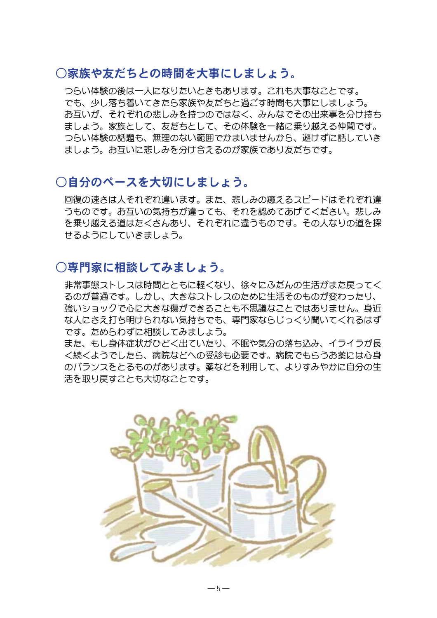# ○家族や友だちとの時間を大事にしましょう。

つらい体験の後は一人になりたいときもあります。これも大事なことです。 でも、少し落ち着いてきたら家族や友だちと過ごす時間も大事にしましょう。 お互いが、それぞれの悲しみを持つのではなく、みんなでその出来事を分け持ち ましょう。家族として、友だちとして、その体験を一緒に乗り越える仲間です。 つらい体験の話題も、無理のない範囲でかまいませんから、避けずに話していき ましょう。お互いに悲しみを分け合えるのが家族であり友だちです。

# ○自分のペースを大切にしましょう。

回復の速さは人それぞれ違います。また、悲しみの癒えるスピードはそれぞれ違 うものです。お互いの気持ちが違っても、それを認めてあげてください。悲しみ を乗り越える道はたくさんあり、それぞれに違うものです。その人なりの道を探 せるようにしていきましょう。

## ○専門家に相談してみましょう。

非常事態ストレスは時間とともに軽くなり、徐々にふだんの生活がまた戻ってく るのが普通です。しかし、大きなストレスのために生活そのものが変わったり、 強いショックで心に大きな傷ができることも不思議なことではありません。身近 な人にさえ打ち明けられない気持ちでも、専門家ならじっくり聞いてくれるはず です。ためらわずに相談してみましょう。

また、もし身体症状がひどく出ていたり、不眠や気分の落ち込み、イライラが長 <続くようでしたら、病院などへの受診も必要です。病院でもらうお薬には心身 のバランスをとるものがあります。薬などを利用して、よりすみやかに自分の生 活を取り戻すことも大切なことです。

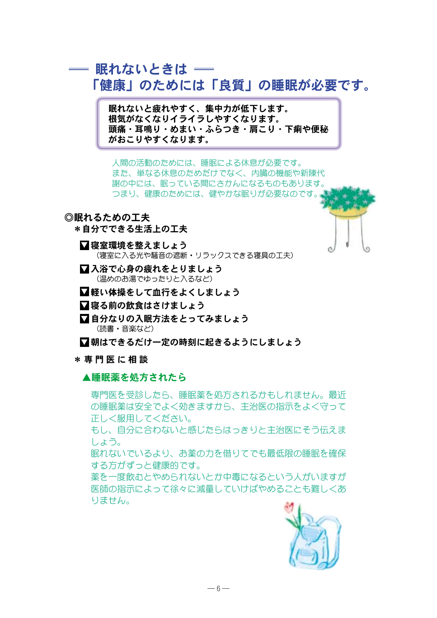# ━━ 眠れないときは ━━ 「健康」のためには「良質」の睡眠が必要です。

眠れないと疲れやすく、集中力が低下します。 根気がなくなりイライラしやすくなります。 頭痛・耳鳴り・めまい・ふらつき・肩こり・下痢や便秘 がおこりやすくなります。

人間の活動のためには、睡眠による休息が必要です。 また、単なる休息のためだけでなく、内臓の機能や新陳代 謝の中には、眠っている間にさかんになるものもあります。 つまり、健康のためには、健やかな眠りが必要なのです。

#### ◎眠れるための工夫

- \*自分でできる生活上の工夫
	- ■寝室環境を整えましょう (寝室に入る光や騒音の遮断・リラックスできる寝具の工夫)
	- ■入浴で心身の疲れをとりましょう (温めのお湯でゆったりと入るなど)
	- ■軽い体操をして血行をよくしましょう
	- ■寝る前の飲食はさけましょう
	- ■自分なりの入眠方法をとってみましょう (読書・音楽など)
	- ■朝はできるだけ一定の時刻に起きるようにしましょう

#### \* 専門医に相談

#### ▲睡眠薬を処方されたら

専門医を受診したら、睡眠薬を処方されるかもしれません。最近 の睡眠薬は安全でよく効きますから、主治医の指示をよく守って 正しく服用してください。

もし、自分に合わないと感じたらはっきりと主治医にそう伝えま しょう。

眠れないでいるより、お薬の力を借りてでも最低限の睡眠を確保 する方がずっと健康的です。

薬を一度飲むとやめられないとか中毒になるという人がいますが 医師の指示によって徐々に減量していけばやめることも難しくあ りません。

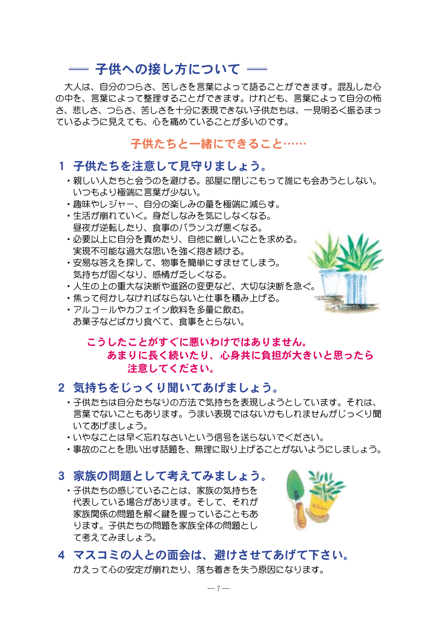# - 子供への接し方について -

大人は、自分のつらさ、苦しさを言葉によって語ることができます。混乱した心 の中を、言葉によって整理することができます。けれども、言葉によって自分の怖 さ、悲しさ、つらさ、苦しさを十分に表現できない子供たちは、一見明るく振るまっ ているように見えても、心を痛めていることが多いのです。

# 子供たちと一緒にできること……

## 1 子供たちを注意して見守りましょう。

- ・親しい人たちと会うのを避ける。部屋に閉じこもって誰にも会おうとしない。 いつもより極端に言葉が少ない。
- ・趣味やレジャー、自分の楽しみの量を極端に減らす。
- ・生活が崩れていく。身だしなみを気にしなくなる。 昼夜が逆転したり、食事のバランスが悪くなる。
- 必要以上に自分を責めたり、自他に厳しいことを求める。 実現不可能な過大な思いを強く抱き続ける。
- ・安易な答えを探して、物事を簡単にすませてしまう。 気持ちが固くなり、感情が乏しくなる。
- •人生の上の重大な決断や進路の変更など、大切な決断を急ぐ。
- ・焦って何かしなければならないと仕事を積み上げる。
- ・アルコールやカフェイン飲料を多量に飲お。 お菓子などばかり食べて、食事をとらない。



## こうしたことがすぐに悪いわけではありません。 あまりに長く続いたり、心身共に負担が大きいと思ったら 注意してください。

# 2 気持ちをじっくり聞いてあげましょう。

- 子供たちは自分たちなりの方法で気持ちを表現しようとしています。それは、 言葉でないこともあります。うまい表現ではないかもしれませんがじっくり聞 いてあげましょう。
- •いやなことは早く忘れなさいという信号を送らないでください。
- ・事故のことを思い出す話題を、無理に取り上げることがないようにしましょう。

# 3 家族の問題として考えてみましょう。

• 子供たちの感じていることは、家族の気持ちを 代表している場合があります。そして、それが 家族関係の問題を解く鍵を握っていることもあ ります。子供たちの問題を家族全体の問題とし て考えてみましょう。



4 マスコミの人との面会は、避けさせてあげて下さい。

かえって心の安定が崩れたり、落ち着きを失う原因になります。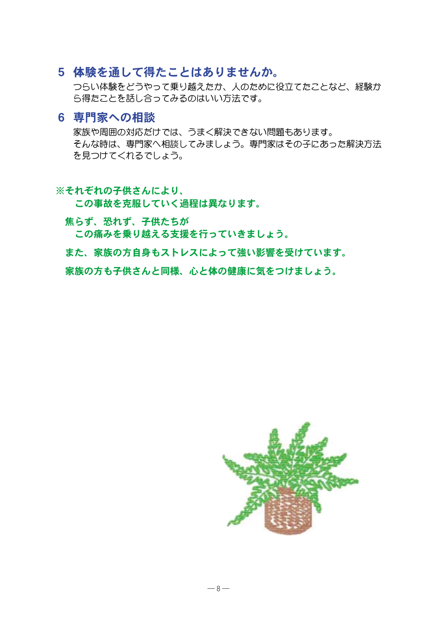## 5 体験を通して得たことはありませんか。

つらい体験をどうやって乗り越えたか、人のために役立てたことなど、経験か ら得たことを話し合ってみるのはいい方法です。

## 6 専門家への相談

家族や周囲の対応だけでは、うまく解決できない問題もあります。 そんな時は、専門家へ相談してみましょう。専門家はその子にあった解決方法 を見つけてくれるでしょう。

#### ※それぞれの子供さんにより、

この事故を克服していく過程は異なります。

焦らず、恐れず、子供たちが この痛みを乗り越える支援を行っていきましょう。

また、家族の方自身もストレスによって強い影響を受けています。 家族の方も子供さんと同様、心と体の健康に気をつけましょう。

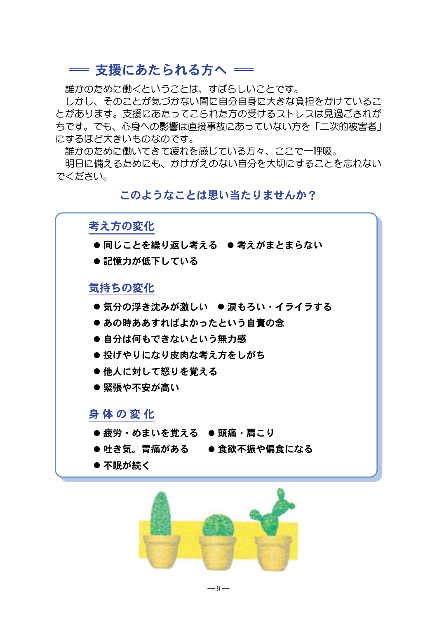# == 支援にあたられる方へ ==

誰かのために働くということは、すばらしいことです。

しかし、そのことが気づかない間に自分自身に大きな負担をかけているこ とがあります。支援にあたってこられた方の受けるストレスは見過ごされが ちです。でも、心身への影響は直接事故にあっていない方を「二次的被害者1 にするほど大きいものなのです。

誰かのために働いてきて疲れを感じている方々、ここで一呼吸。 明日に備えるためにも、かけがえのない自分を大切にすることを忘れない でください。

## このようなことは思い当たりませんか?



● 不眠が続く

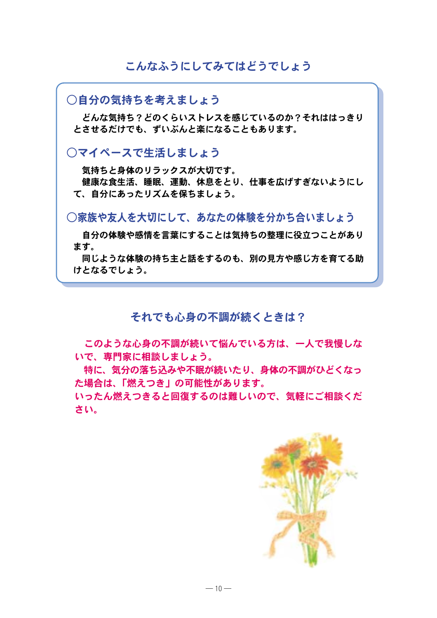## こんなふうにしてみてはどうでしょう

## ○自分の気持ちを考えましょう

どんな気持ち?どのくらいストレスを感じているのか?それははっきり とさせるだけでも、ずいぶんと楽になることもあります。

## ○マイペースで生活しましょう

気持ちと身体のリラックスが大切です。

健康な食生活、睡眠、運動、休息をとり、仕事を広げすぎないようにし て、自分にあったリズムを保ちましょう。

## ○家族や友人を大切にして、あなたの体験を分かち合いましょう

自分の体験や感情を言葉にすることは気持ちの整理に役立つことがあり ます。

同じような体験の持ち主と話をするのも、別の見方や感じ方を育てる助 けとなるでしょう。

## それでも心身の不調が続くときは?

このような心身の不調が続いて悩んでいる方は、一人で我慢しな いで、専門家に相談しましょう。

特に、気分の落ち込みや不眠が続いたり、身体の不調がひどくなっ た場合は、「燃えつき」の可能性があります。

いったん燃えつきると回復するのは難しいので、気軽にご相談くだ さい。

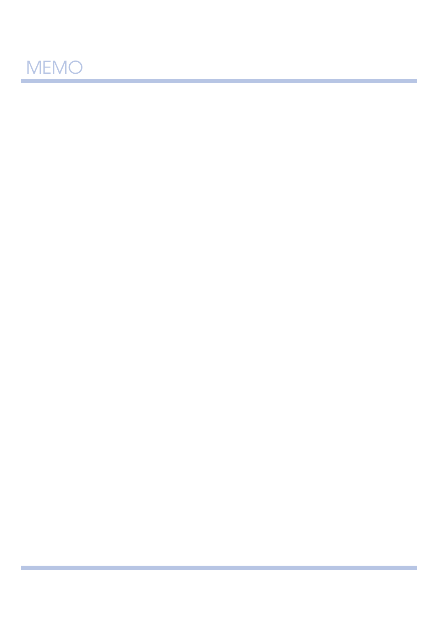